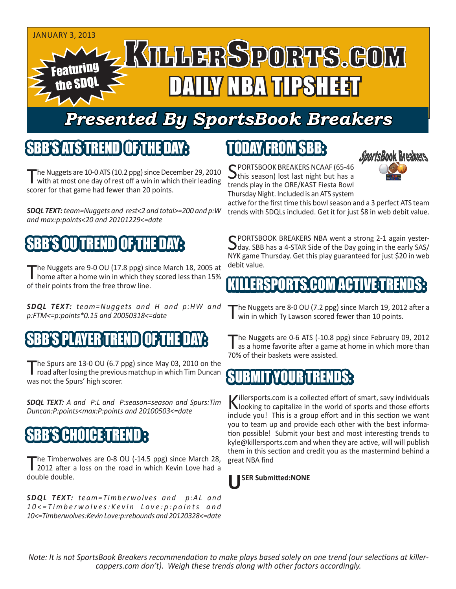

# *Presented By SportsBook Breakers*

## SBB'S ATSTREND

he Nuggets are 10-0 ATS (10.2 ppg) since December 29, 2010 with at most one day of rest off a win in which their leading scorer for that game had fewer than 20 points.

*SDQL TEXT: team=Nuggets and rest<2 and total>=200 and p:W and max:p:points<20 and 20101229<=date*

# SBB'S OU TREND OF THE DAY:

The Nuggets are 9-0 OU (17.8 ppg) since March 18, 2005 at home after a home win in which they scored less than 15% of their points from the free throw line.

*SDQL TEXT: team=Nuggets and H and p:HW and p:FTM<=p:points\*0.15 and 20050318<=date*

## SBB'IN'S PLAYER TREND

The Spurs are 13-0 OU (6.7 ppg) since May 03, 2010 on the road after losing the previous matchup in which Tim Duncan was not the Spurs' high scorer.

*SDQL TEXT: A and P:L and P:season=season and Spurs:Tim Duncan:P:points<max:P:points and 20100503<=date*

## SBB'S HI(I) [H3]

The Timberwolves are 0-8 OU (-14.5 ppg) since March 28,<br>2012 after a loss on the road in which Kevin Love had a double double.

**SDQL TEXT:** *team=Timberwolves and p:AL and 1 0 < = T i m b e r w o l v e s : K e v i n L o v e : p : p o i n t s a n d 10<=Timberwolves:Kevin Love:p:rebounds and 20120328<=date*

# TODAY FROM SBB:



SPORTSBOOK BREAKERS NCAAF (65-46)<br>this season) lost last night but has a trends play in the ORE/KAST Fiesta Bowl Thursday Night. Included is an ATS system

active for the first time this bowl season and a 3 perfect ATS team trends with SDQLs included. Get it for just \$8 in web debit value.

SPORTSBOOK BREAKERS NBA went a strong 2-1 again yester-<br>day. SBB has a 4-STAR Side of the Day going in the early SAS/ NYK game Thursday. Get this play guaranteed for just \$20 in web debit value.

## ERSPORTS.COM ACTIVE:T

The Nuggets are 8-0 OU (7.2 ppg) since March 19, 2012 after a win in which Ty Lawson scored fewer than 10 points.

The Nuggets are 0-6 ATS (-10.8 ppg) since February 09, 2012<br>as a home favorite after a game at home in which more than 70% of their baskets were assisted.

#### SUBMITYOUR TREND

Killersports.com is a collected effort of smart, savy individuals<br>Nooking to capitalize in the world of sports and those efforts include you! This is a group effort and in this section we want you to team up and provide each other with the best information possible! Submit your best and most interesting trends to kyle@killersports.com and when they are active, will will publish them in this section and credit you as the mastermind behind a great NBA find



*Note: It is not SportsBook Breakers recommendation to make plays based solely on one trend (our selections at killercappers.com don't). Weigh these trends along with other factors accordingly.*